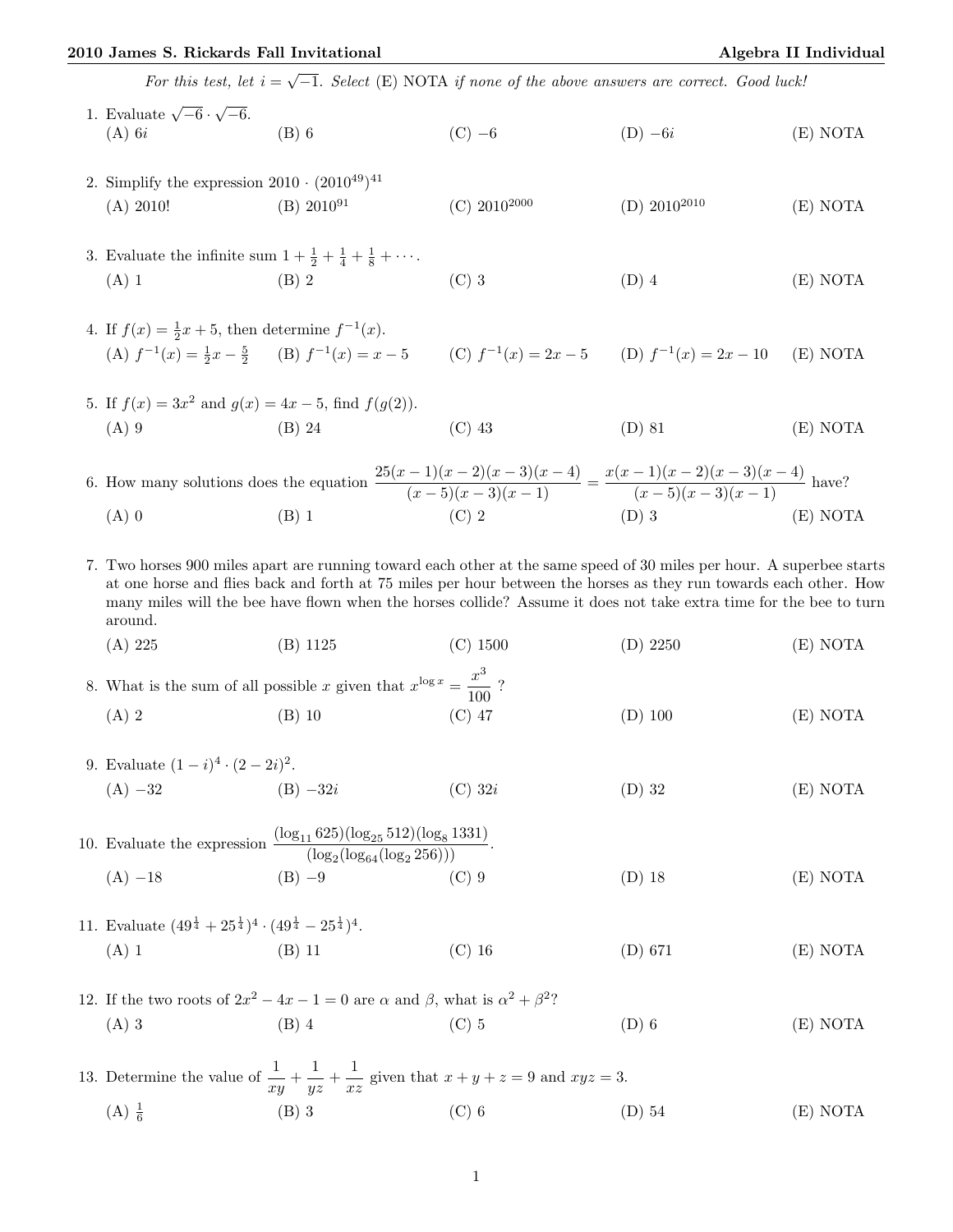## 2010 James S. Rickards Fall Invitational **Algebra II** Individual

| For this test, let $i = \sqrt{-1}$ . Select (E) NOTA if none of the above answers are correct. Good luck!                              |                                                                                                                                                                                                                                                                                                                                                                  |                                                    |                   |          |
|----------------------------------------------------------------------------------------------------------------------------------------|------------------------------------------------------------------------------------------------------------------------------------------------------------------------------------------------------------------------------------------------------------------------------------------------------------------------------------------------------------------|----------------------------------------------------|-------------------|----------|
| 1. Evaluate $\sqrt{-6} \cdot \sqrt{-6}$ .<br>(A) 6 <i>i</i><br>$(A)$ 6 <i>i</i>                                                        | $(B)$ 6                                                                                                                                                                                                                                                                                                                                                          | $(C)$ -6                                           | $(D) -6i$         | (E) NOTA |
| 2. Simplify the expression $2010 \cdot (2010^{49})^{41}$<br>(A) 2010!                                                                  | $(B) 2010^{91}$                                                                                                                                                                                                                                                                                                                                                  | $(C)$ 2010 <sup>2000</sup>                         | (D) $2010^{2010}$ | (E) NOTA |
| 3. Evaluate the infinite sum $1 + \frac{1}{2} + \frac{1}{4} + \frac{1}{8} + \cdots$ .<br>$(A)$ 1                                       | $(B)$ 2                                                                                                                                                                                                                                                                                                                                                          | $(C)$ 3                                            | $(D)$ 4           | (E) NOTA |
| 4. If $f(x) = \frac{1}{2}x + 5$ , then determine $f^{-1}(x)$ .<br>(A) $f^{-1}(x) = \frac{1}{2}x - \frac{5}{2}$ (B) $f^{-1}(x) = x - 5$ |                                                                                                                                                                                                                                                                                                                                                                  | (C) $f^{-1}(x) = 2x - 5$ (D) $f^{-1}(x) = 2x - 10$ |                   | (E) NOTA |
| 5. If $f(x) = 3x^2$ and $g(x) = 4x - 5$ , find $f(g(2))$ .<br>$(A)$ 9                                                                  | $(B)$ 24                                                                                                                                                                                                                                                                                                                                                         | $(C)$ 43                                           | $(D)$ 81          | (E) NOTA |
|                                                                                                                                        | 6. How many solutions does the equation $\frac{25(x-1)(x-2)(x-3)(x-4)}{(x-5)(x-3)(x-1)} = \frac{x(x-1)(x-2)(x-3)(x-4)}{(x-5)(x-3)(x-1)}$ have?                                                                                                                                                                                                                   |                                                    |                   |          |
| $(A)$ 0                                                                                                                                | $(B)$ 1                                                                                                                                                                                                                                                                                                                                                          | $(C)$ 2                                            | $(D)$ 3           | (E) NOTA |
| around.                                                                                                                                | 7. Two horses 900 miles apart are running toward each other at the same speed of 30 miles per hour. A superbee starts<br>at one horse and flies back and forth at 75 miles per hour between the horses as they run towards each other. How<br>many miles will the bee have flown when the horses collide? Assume it does not take extra time for the bee to turn |                                                    |                   |          |
| (A) 225                                                                                                                                | $(B)$ 1125                                                                                                                                                                                                                                                                                                                                                       | $(C)$ 1500                                         | $(D)$ 2250        | (E) NOTA |
| 8. What is the sum of all possible x given that $x^{\log x} = \frac{x^3}{100}$ ?                                                       |                                                                                                                                                                                                                                                                                                                                                                  |                                                    |                   |          |
| $(A)$ 2                                                                                                                                | $(B)$ 10                                                                                                                                                                                                                                                                                                                                                         | $(C)$ 47                                           | $(D)$ 100         | (E) NOTA |
| 9. Evaluate $(1-i)^4 \cdot (2-2i)^2$ .                                                                                                 |                                                                                                                                                                                                                                                                                                                                                                  |                                                    |                   |          |
| $(A) -32$<br>$(B) -32i$                                                                                                                |                                                                                                                                                                                                                                                                                                                                                                  | $(C)$ 32i                                          | $(D)$ 32          | (E) NOTA |
| 10. Evaluate the expression $\frac{(\log_{11} 625)(\log_{25} 512)(\log_8 1331)}{(\log_2(\log_{64} (\log_2 256)))}$ .                   |                                                                                                                                                                                                                                                                                                                                                                  |                                                    |                   |          |
| $(A) -18$                                                                                                                              | $(B) -9$                                                                                                                                                                                                                                                                                                                                                         | $(C)$ 9                                            | $(D)$ 18          | (E) NOTA |
| 11. Evaluate $(49^{\frac{1}{4}} + 25^{\frac{1}{4}})^4 \cdot (49^{\frac{1}{4}} - 25^{\frac{1}{4}})^4$ .<br>$(A)$ 1                      | $(B)$ 11                                                                                                                                                                                                                                                                                                                                                         | $(C)$ 16                                           | $(D)$ 671         | (E) NOTA |
|                                                                                                                                        |                                                                                                                                                                                                                                                                                                                                                                  |                                                    |                   |          |
| $(A)$ 3                                                                                                                                | 12. If the two roots of $2x^2 - 4x - 1 = 0$ are $\alpha$ and $\beta$ , what is $\alpha^2 + \beta^2$ ?<br>$(B)$ 4                                                                                                                                                                                                                                                 | $(C)$ 5                                            | $(D)$ 6           | (E) NOTA |
|                                                                                                                                        | 13. Determine the value of $\frac{1}{xy} + \frac{1}{yz} + \frac{1}{xz}$ given that $x + y + z = 9$ and $xyz = 3$ .                                                                                                                                                                                                                                               |                                                    |                   |          |
| $(A) \frac{1}{6}$                                                                                                                      | $(B)$ 3                                                                                                                                                                                                                                                                                                                                                          | $(C)$ 6                                            | $(D)$ 54          | (E) NOTA |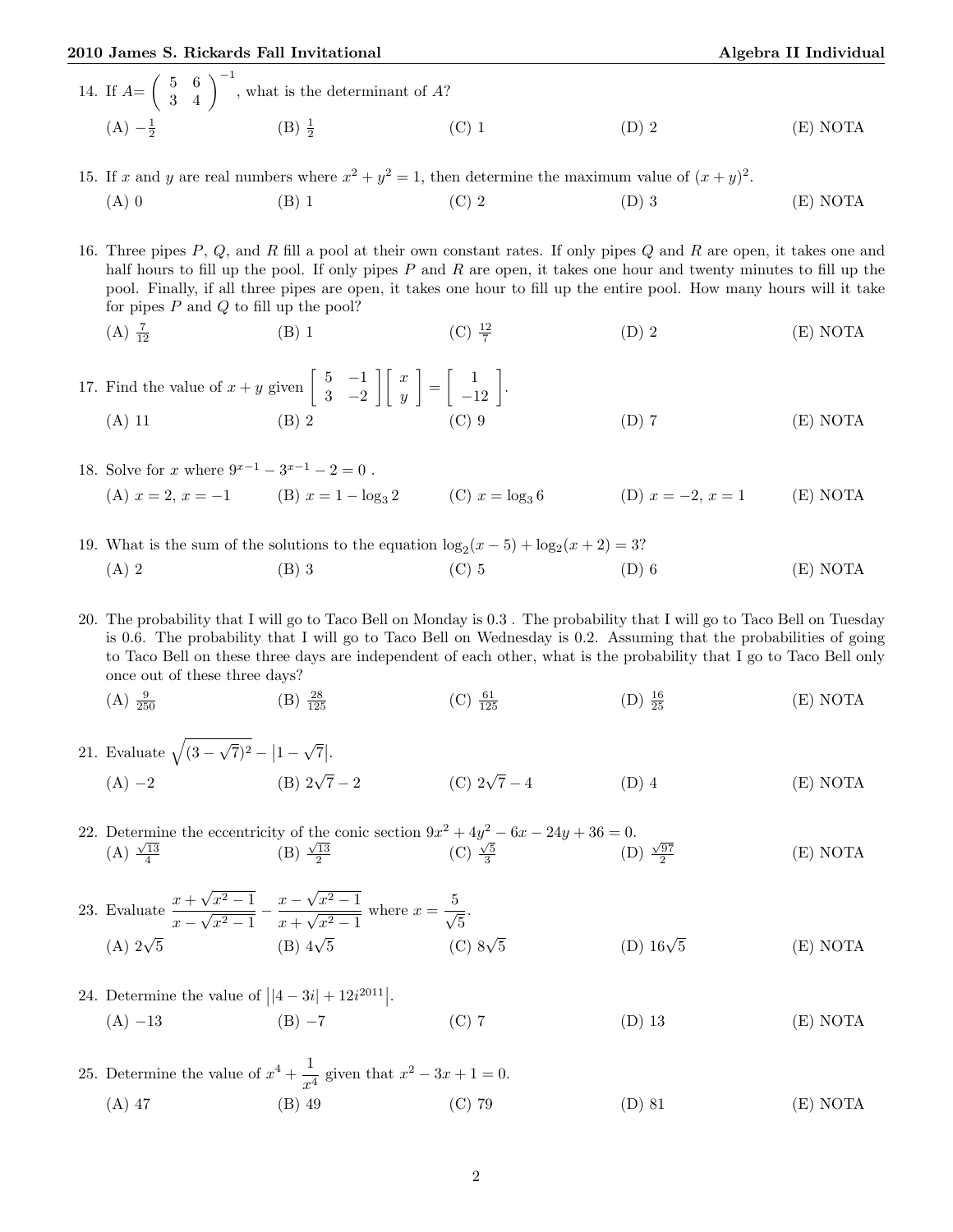## 2010 James S. Rickards Fall Invitational Algebra II Individual

- 14. If  $A = \begin{pmatrix} 5 & 6 \\ 3 & 4 \end{pmatrix}^{-1}$ , what is the determinant of A?  $(A) -\frac{1}{2}$  $(B) \frac{1}{2}$ (C) 1  $(D)$  2  $(E)$  NOTA
- 15. If x and y are real numbers where  $x^2 + y^2 = 1$ , then determine the maximum value of  $(x + y)^2$ . (A) 0 (B) 1 (C) 2 (D) 3 (E) NOTA

16. Three pipes  $P, Q$ , and R fill a pool at their own constant rates. If only pipes  $Q$  and  $R$  are open, it takes one and half hours to fill up the pool. If only pipes  $P$  and  $R$  are open, it takes one hour and twenty minutes to fill up the pool. Finally, if all three pipes are open, it takes one hour to fill up the entire pool. How many hours will it take for pipes  $P$  and  $Q$  to fill up the pool?

(A) 
$$
\frac{7}{12}
$$
 \t\t (B) 1 \t\t (C)  $\frac{12}{7}$  \t\t (D) 2 \t\t (E) NOTA

17. Find the value of  $x + y$  given  $\begin{bmatrix} 5 & -1 \\ 2 & 2 \end{bmatrix}$ 3 −2  $\lceil x \rceil$  $\hat{y}$  $\bigg] = \bigg[ \begin{array}{c} 1 \\ -12 \end{array} \bigg].$ (A) 11 (B) 2 (C) 9 (D) 7 (E) NOTA

18. Solve for x where  $9^{x-1} - 3^{x-1} - 2 = 0$ . (A)  $x = 2, x = -1$  (B)  $x = 1 - \log_3 2$  (C)  $x = \log_3 6$  (D)  $x = -2, x = 1$  (E) NOTA

19. What is the sum of the solutions to the equation  $\log_2(x-5) + \log_2(x+2) = 3$ ? (A) 2 (B) 3 (C) 5 (D) 6 (E) NOTA

20. The probability that I will go to Taco Bell on Monday is 0.3 . The probability that I will go to Taco Bell on Tuesday is 0.6. The probability that I will go to Taco Bell on Wednesday is 0.2. Assuming that the probabilities of going to Taco Bell on these three days are independent of each other, what is the probability that I go to Taco Bell only once out of these three days?

- $(A) \frac{9}{250}$  $(B) \frac{28}{125}$  $(C) \frac{61}{125}$  $(D) \frac{16}{25}$  $(E) NOTA$
- 21. Evaluate  $\sqrt{(3 \sqrt{7})^2 - |1 -$ √  $\overline{7}$ . (A)  $-2$  (B)  $2\sqrt{7}-2$ (C)  $2\sqrt{7}-4$  $\overline{P}$  (D) 4  $\overline{P}$  (E) NOTA

22. Determine the eccentricity of the conic section  $9x^2 + 4y^2 - 6x - 24y + 36 = 0$ . Determine the eccentricity of the come section  $3x + 4y = 0$ .<br>
(A)  $\frac{\sqrt{13}}{4}$  (B)  $\frac{\sqrt{13}}{2}$  (C)  $\frac{\sqrt{5}}{3}$  (D)  $\frac{\sqrt{97}}{2}$ (E) NOTA

23. Evaluate 
$$
\frac{x + \sqrt{x^2 - 1}}{x - \sqrt{x^2 - 1}} - \frac{x - \sqrt{x^2 - 1}}{x + \sqrt{x^2 - 1}}
$$
 where  $x = \frac{5}{\sqrt{5}}$ .  
\n(A)  $2\sqrt{5}$  (B)  $4\sqrt{5}$  (C)  $8\sqrt{5}$  (D)  $16\sqrt{5}$  (E) NOTA

- 24. Determine the value of  $||4 3i|| + 12i^{2011}||$ . (A) −13 (B) −7 (C) 7 (D) 13 (E) NOTA
- 25. Determine the value of  $x^4 + \frac{1}{x^2}$  $\frac{1}{x^4}$  given that  $x^2 - 3x + 1 = 0$ . (A) 47 (B) 49 (C) 79 (D) 81 (E) NOTA